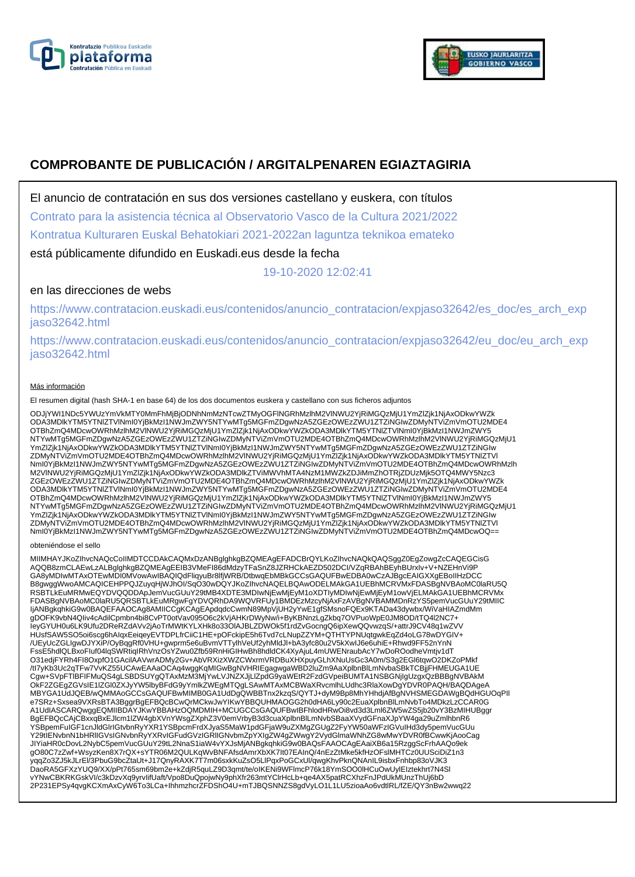



# **COMPROBANTE DE PUBLICACIÓN / ARGITALPENAREN EGIAZTAGIRIA**

El anuncio de contratación en sus dos versiones castellano y euskera, con títulos

Contrato para la asistencia técnica al Observatorio Vasco de la Cultura 2021/2022 Kontratua Kulturaren Euskal Behatokiari 2021-2022an laguntza teknikoa emateko

está públicamente difundido en Euskadi.eus desde la fecha

19-10-2020 12:02:41

# en las direcciones de webs

https://www.contratacion.euskadi.eus/contenidos/anuncio\_contratacion/expjaso32642/es\_doc/es\_arch\_exp jaso32642.html

https://www.contratacion.euskadi.eus/contenidos/anuncio\_contratacion/expjaso32642/eu\_doc/eu\_arch\_exp jaso32642.html

### Más información

El resumen digital (hash SHA-1 en base 64) de los dos documentos euskera y castellano con sus ficheros adjuntos

ODJjYWI1NDc5YWUzYmVkMTY0MmFhMjBjODNhNmMzNTcwZTMyOGFlNGRhMzlhM2VlNWU2YjRiMGQzMjU1YmZlZjk1NjAxODkwYWZk ODA3MDlkYTM5YTNlZTVlNmI0YjBkMzI1NWJmZWY5NTYwMTg5MGFmZDgwNzA5ZGEzOWEzZWU1ZTZiNGIwZDMyNTViZmVmOTU2MDE4 OTBhZmQ4MDcwOWRhMzlhM2VlNWU2YjRiMGQzMjU1YmZlZjk1NjAxODkwYWZkODA3MDlkYTM5YTNlZTVlNml0YjBkMzI1NWJmZWY5<br>NTYwMTg5MGFmZDgwNzA5ZGEzOWEzZWU1ZTZiNGIwZDMyNTViZmVmOTU2MDE4OTBhZmQ4MDcwOWRhMzlhM2VlNWU2YjRiMGQzMjU1 YmZlZjk1NjAxODkwYWZkODA3MDlkYTM5YTNIZTVlNmI0YjBkMzI1NWJmZWY5NTYwMTg5MGFmZDgwNzA5ZGEzOWEzZWU1ZTZiNGIw<br>ZDMyNTViZmVmOTU2MDE4OTBhZmQ4MDcwOWRhMzlhM2VlNWU2YjRiMGQzMjU1YmZlZjk1NjAxODkwYWZkODA3MDlkYTM5YTNIZTVI NmI0YjBkMzI1NWJmZWY5NTYwMTg5MGFmZDgwNzA5ZGEzOWEzZWU1ZTZiNGIwZDMyNTViZmVmOTU2MDE4OTBhZmQ4MDcwOWRhMzlh M2VlNWU2YjRiMGQzMjU1YmZlZjk1NjAxODkwYWZkODA3MDlkZTViMWVhMTA4NzM1MWZkZDJiMmZhOTRjZDUzMjk5OTQ4MWY5Nzc3 ZGEzOWEzZWU1ZTZiNGIwZDMyNTViZmVmOTU2MDE4OTBhZmQ4MDcwOWRhMzlhM2VINWU2YjRiMGQzMjU1YmZlZjk1NjAxODkwYWZk<br>ODA3MDlkYTM5YTNIZTVINmI0YjBkMzI1NWJmZWY5NTYwMTg5MGFmZDgwNzA5ZGEzOWEzZWU1ZTZiNGIwZDMyNTViZmVmOTU2MDE4 OTBhZmQ4MDcwOWRhMzlhM2VlNWU2YjRiMGQzMjU1YmZlZjk1NjAxODkwYWZkODA3MDlkYTM5YTNlZTVlNml0YjBkMzI1NWJmZWY5<br>NTYwMTg5MGFmZDgwNzA5ZGEzOWEzZWU1ZTZiNGIwZDMyNTViZmVmOTU2MDE4OTBhZmQ4MDcwOWRhMzlhM2VlNWU2YjRiMGQzMjU1 YmZlZjk1NjAxODkwYWZkODA3MDlkYTM5YTNIZTVlNmI0YjBkMzI1NWJmZWY5NTYwMTg5MGFmZDgwNzA5ZGEzOWEzZWU1ZTZiNGIw<br>ZDMyNTViZmVmOTU2MDE4OTBhZmQ4MDcwOWRhMzlhM2VlNWU2YjRiMGQzMjU1YmZlZjk1NjAxODkwYWZkODA3MDlkYTM5YTNIZTVI NmI0YjBkMzI1NWJmZWY5NTYwMTg5MGFmZDgwNzA5ZGEzOWEzZWU1ZTZiNGIwZDMyNTViZmVmOTU2MDE4OTBhZmQ4MDcwOQ==

#### obteniéndose el sello

MIIMHAYJKoZIhvcNAQcCoIIMDTCCDAkCAQMxDzANBglghkgBZQMEAgEFADCBrQYLKoZIhvcNAQkQAQSggZ0EgZowgZcCAQEGCisG AQQB8zmCLAEwLzALBglghkgBZQMEAgEEIB3VMeFI86dMdzyTFaSnZ8JZRHCkAEZD502DCI/VZqRBAhBEyhBUrxIv+V+NZEHnVi9P GA8yMDIwMTAxOTEwMDI0MVowAwIBAQIQdFliqyuBr8lfjWRB/DtbwqEbMBkGCCsGAQUFBwEDBA0wCzAJBgcEAIGXXgEBoIIHzDCC B8gwggWwoAMCAQICEHPPQJZuyqHjWJhOI/SqÖ30wDQYJKoZIhvcNAQELBQAwODELMAkGA1UEBhMCRVMxFDASBgNVBAoMC0laRU5Q RSBTLkEuMRMwEQYDVQQDDApJemVucGUuY29tMB4XDTE3MDIwNjEwMjEyM1oXDTIyMDIwNjEwMjEyM1owVjELMAkGA1UEBhMCRVMx<br>FDASBgNVBAoMC0laRU5QRSBTLkEuMRgwFgYDVQRhDA9WQVRFUy1BMDEzMzcyNjAxFzAVBgNVBAMMDnRzYS5pemVucGUuY29tMIIC ljANBgkqhkiG9w0BAQEFAAOCAg8AMIICCgKCAgEApdqdcCwmN89MpVjUH2yYwE1gfSMsnoFQEx9KTADa43dywbx/WiVaHIAZmdMm<br>gDOFK9vbN4Qliv4cAdilCpmbn4bi8CvPT0otVav095O6c2kVjAHKrDWyNw/i+ByKBNnzLgZkbq7OVPuoWpE0JM8OD/tTQ4l2NC7+ IeyGYUH0u6LK9Ufu2DReRZdAVv2jAoTrMWtKYLXHk8o33OlAJBLZDWOk5f1rdZvGocngQ6ipXewQQvwzqS/+attrJ9CV48q1wZVV HUsfSAW5SO5oi6scg6hAIqxEeiqeyEVTDPLfrCiiC1HE+pOFckipE5h6Tvd7cLNupZZYM+QTHTYPNUqtgwkEqZd4oLG78wDYGIV+ /UEyUcZGLIgwDJYXiP/OyBqgRf0VHU+gwprm5e6uBvmVTTylhVeUf2yhMldJl+bA3yfc80u2V5kXwIJ6e6uhiE+Rhwd9FF52nYnN FssE5hdlQLBxoFIuf04lqSWRtiqIRhVnzOsYZwu0Zfb59RnHiGIHwBh8hdldCK4XyAjuL4mUWENraubAcY7wDoROodheVmtjv1dT O31edjFYRh4FI8OxpfO1GAcilAAVwrADMy2Gv+AbVRXizXWZCWxrmVRDBuXHXpuyGLhXNuUsGc3A0m/S3g2EGl6tqwO2DKZoPMkf<br>/tl7yKb3Uc2qTFw7VvKZ55UCAwEAAaOCAq4wggKqMlGwBgNVHRlEgagwgaWBD2luZm9AaXplbnBlLmNvbaSBkTCBjjFHMEUGA1UE<br>Cgw+SVpFTIBFIFMuQS4g MBYGA1UdJQEB/wQMMAoGCCsGAQUFBwMIMB0GA1UdDgQWBBTnx2kzqS/QYTJ+dyM9Bp8MhYHhdjAfBgNVHSMEGDAWgBQdHGUOqPII<br>e7SRz+Sxsea9VXRsBTA3BggrBgEFBQcBCwQrMCkwJwYIKwYBBQUHMAOGG2h0dHA6Ly90c2EuaXplbnBlLmNvbTo4MDkzLzCCAR0G A1UdIASCARQwggEQMIIBDAYJKwYBBAHzOQMDMIH+MCUGCCsGAQUFBwIBFhlodHRwOi8vd3d3Lml6ZW5wZS5jb20vY3BzMIHUBggr BgEFBQcCAjCBxxqBxEJlcm1lZW4gbXVnYWsgZXphZ3V0emVrbyB3d3cuaXplbnBlLmNvbSBaaXVydGFnaXJpYW4ga29uZmlhbnR6 YSBpemFuIGF1cnJldGlrIGtvbnRyYXR1YSBpcmFrdXJyaS5MaW1pdGFjaW9uZXMgZGUgZ2FyYW50aWFzIGVuIHd3dy5pemVucGUu<br>Y29tIENvbnN1bHRIIGVsIGNvbnRyYXRvIGFudGVzIGRIIGNvbmZpYXIgZW4gZWwgY2VydGlmaWNhZG8wMwYDVR0flBCwwKjAooCag<br>JIYiaHR0cDovL2NybC5 yqqZo3ZJ5kJLrEl/3PbuG9bcZtaUt+J17QnyRAXK7T7m06sxkKuZsO5LlPqxPoGCxUl/qwgKhvPknQNAnIL9isbxFnhbp83oVJK3<br>DaoRA5GFXzYUQ9/XX/pPt765sm69bm2e+kZdjR5quLZ9D3qmt/te/oIKENi9WFlmcP76k18YmSOO0lHCuOwUylEIztekhrt7N4Sl vYNwCBKRKGskVI/c3kDzvXq9yrvIifUaft/Vpo8DuQpojwNy9phXfr263mtYClrHcLb+qe4AX5patRCXhzFnJPdUkMUnzThUj6bD 2P231EPSy4qvgKCXmAxCyW6To3LCa+IhhmzhcrZFDShO4U+mTJBQSNNZS8gdVyLO1L1LU5zioaAo6vdtlRL/fZE/QY3nBw2wwq22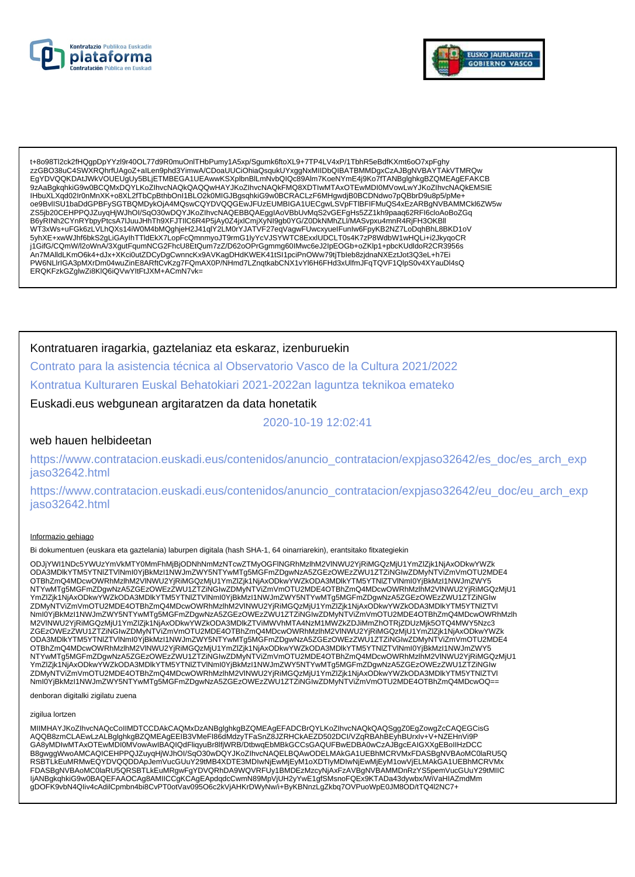



t+8o98Tl2ck2fHQgpDpYYzl9r40OL77d9R0muOnlTHbPumy1A5xp/Sgumk6ftoXL9+7TP4LV4xP/1TbhR5eBdfKXmt6oO7xpFghy zzGBO38uC4SWXRQhrfUAgoZ+alLen9phd3YimwA/CDoaUUCiOhiaQsqukUYxggNxMIIDbQIBATBMMDgxCzAJBgNVBAYTAkVTMRQw EgYDVQQKDAtJWkVOUEUgUy5BLjETMBEGA1UEAwwKSXplbnBlLmNvbQlQc89Alm7KoeNYmE4j9Ko7fTANBglghkgBZQMEAgEFAKCB 9ZAaBgkqhkiG9w0BCQMxDQYLKoZlhvcNAQkQAQQwHAYJKoZlhvcNAQkFMQ8XDTIwMTAxOTEwMDI0MVowLwYJKoZlhvcNAQkEMSIE IHbuXLXqd02Ir0nMnXK+o8XL2fTbCpBthbOnI1BLO2k0MIGJBgsqhkiG9w0BCRACLzF6MHgwdjB0BCDNdwo7pQBbrD9u8p5/pMe+ oe9BvlISU1baDdGPBFySGTBQMDykOjA4MQswCQYDVQQGEwJFUzEUMBIGA1UECgwLSVpFTIBFIFMuQS4xEzARBgNVBAMMCkl6ZW5w ZS5jb20CEHPPQJZuyqHjWJhOl/SqO30wDQYJKoZIhvcNAQEBBQAEggIAoVBbUvMqS2vGEFgHs5ZZ1kh9paaq62RFI6cloAoBoZGq<br>B6yRINh2CYnRYbpyPtcsA7lJuuJHhTh9XFJTIIC6R4P5jAy0Z4jxICmjXyNl9gb0YG/Z0DkNMhZLI/MASvpxu4mnR4RjFH3OKBll Dyininizo inicipal and the product of the control of the control of the control of the control of the control of the control of the control of the control of the control of the control of the control of the control of the j1GifG/CQmW/l2oWnA/3XgutFqumNCG2FhcU8EtQum7zZ/D62oOPrGgmmg60IMwc6eJ2lpEOGb+oZKlp1+pbcKUdldoR2CR3956s .<br>An7MAlldLKmO6k4+dJx+XKci0utZDCyDgCwnncKx9AVKagDHdKWEK41tSI1pciPnOWw79tjTbleb8zjdnaNXEztJot3Q3eL+h7Ei PW6NLIrIGA3pMXrDm04wuZinE8ARftCvKzg7FQmAX0P/NHmd7LZnqtkabCNX1vYl6H6FHd3xUlfmJFqTQVF1QlpS0v4XYauDl4sQ ERQKFzkGZglwZi8KlQ6iQVwYItFtJXM+ACmN7vk=

## Kontratuaren iragarkia, gaztelaniaz eta eskaraz, izenburuekin

Contrato para la asistencia técnica al Observatorio Vasco de la Cultura 2021/2022

Kontratua Kulturaren Euskal Behatokiari 2021-2022an laguntza teknikoa emateko

Euskadi.eus webgunean argitaratzen da data honetatik

2020-10-19 12:02:41

### web hauen helbideetan

https://www.contratacion.euskadi.eus/contenidos/anuncio\_contratacion/expjaso32642/es\_doc/es\_arch\_exp jaso32642.html

https://www.contratacion.euskadi.eus/contenidos/anuncio\_contratacion/expjaso32642/eu\_doc/eu\_arch\_exp iaso32642.html

#### Informazio gehiago

Bi dokumentuen (euskara eta gaztelania) laburpen digitala (hash SHA-1, 64 oinarriarekin), erantsitako fitxategiekin

ODJjYWI1NDc5YWUzYmVkMTY0MmFhMjBjODNhNmMzNTcwZTMyOGFINGRhMzIhM2VINWU2YjRiMGQzMjU1YmZlZjk1NjAxODkwYWZk ODA3MDlkYTM5YTNIZTVINmI0YjBkMzI1NWJmZWY5NTYwMTg5MGFmZDgwNzA5ZGEzOWEzZWU1ZTZiNGIwZDMyNTViZmVmOTU2MDE4 OTBhZmQ4MDcwOWRhMzIhM2VINWU2YjRiMGQzMjU1YmZlZjk1NjAxODkwYWZkODA3MDlkYTM5YTNIZTVINmI0YjBkMzI1NWJmZWY5 NTYwMTg5MGFmZDgwNzA5ZGEzOWEzZWU1ZTZiNGIwZDMyNTViZmVmOTU2MDE4OTBhZmQ4MDcwOWRhMzIhM2VINWU2YjRiMGQzMjU1<br>YmZlZjk1NjAxODkwYWZkODA3MDlkYTM5YTNIZTVINmI0YjBkMzI1NWJmZWY5NTYwMTg5MGFmZDgwNzA5ZGEzOWEzZWU1ZTZiNGIw ZDMyNTViZmVmOTU2MDE4OTBhZmQ4MDcwOWRhMzIhM2VINWU2YjRiMGQzMjU1YmZIZjk1NjAxODkwYWZkODA3MDlkYTM5YTNIZTVI Nml0YjBkMzI1NWJmZWY5NTYwMTq5MGFmZDqwNzA5ZGEzOWEzZWU1ZTZiNGlwZDMyNTViZmVmOTU2MDE4OTBhZmQ4MDcwOWRhMzlh M2VINWU2YjRiMGQzMjU1YmZlZjk1NjAxODkwYWZkODA3MDlkZTViMWVhMTA4NzM1MWZkZDJiMmZhOTRjZDUzMjk5OTQ4MWY5Nzc3 ZGEzOWEzZWU1ZTZINGIwZDMyNTVIZmVmOTU2MDE4OTBhZmQ4MDcwOWRhMzIhM2VINWU2YjRiMGQzMjU1YmZlZjk1NjAxODkwYWZk ODA3MDlkYTM5YTNIZTVINmI0YjBkMzI1NWJmZWY5NTYwMTg5MGFmZDgwNzA5ZGEzOWEzZWU1ZTZiNGIwZDMyNTViZmVmOTU2MDE4 OTBhZmQ4MDcwOWRhMzlhM2VINWU2YjRiMGQzMjU1YmZlZjk1NjAxODkwYWZkODA3MDlkYTM5YTNIZTVlNml0YjBkMzI1NWJmZWY5 ZDMyNTViZmVmOTU2MDE4OTBhZmQ4MDcwOWRhMzIhM2VlNWU2YjRiMGQzMjU1YmZIZjk1NjAxODkwYWZKODA3MDlkYTM5YTNIZTVI Nml0YiBkMzI1NWJmZWY5NTYwMTq5MGFmZDqwNzA5ZGEzOWEzZWU1ZTZiNGlwZDMyNTViZmVmOTU2MDE4OTBhZmQ4MDcwOQ==

denboran digitalki zigilatu zuena

#### zigilua lortzen

MIIMHAYJKoZIhvcNAQcCoIIMDTCCDAkCAQMxDzANBglghkgBZQMEAgEFADCBrQYLKoZIhvcNAQkQAQSggZ0EgZowgZcCAQEGCisG AQQB8zmCLAEwLzALBglghkgBZQMEAgEEIB3VMeFI86dMdzyTFaSnZ8JZRHCkAEZD502DCI/VZqRBAhBEyňBUrxIv+V+NZEHnVi9P GA8yMDIwMTAxOTEwMDI0MVowAwIBAQIQdFliqyuBr8lfjWRB/DtbwqEbMBkGCCsGAQUFBwEDBA0wCzAJBgcEAIGXXgEBoIIHzDCC B8gwggWwoAMCAQICEHPPQJZuyqHjWJhOI/SqO30wDQYJKoZIhvcNAQELBQAwODELMAkGA1UEBhMCRVMxFDASBgNVBAoMC0laRU5Q RSBTLKEuMRMwEQYDVQQDDApJemVucGUuY29tMB4XDTE3MDIwNjEwMjEyM1oXDTIyMDIwNjEwMjEyM1owVjELMAkGA1UEBhMCRVMx NEDASBgNVBAoMC0laRU5QRSBTLkEuMRgwFgYDVQRhDA9WQVRFUy1BMDEzMzcyNjAxFzAVBgNVBAMMDnRzYS5pemVucGUuY29tMIIC<br>IjANBgkqhkiG9w0BAQEFAAOCAg8AMIICCgKCAgEApdqdcCwmN89MpVjUH2yYwE1gfSMsnoFQEx9KTADa43dywbx/WiVaHIAZmdMm gDOFK9vbN4Qliv4cAdilCpmbn4bi8CvPT0otVav095O6c2kVjAHKrDWyNw/i+ByKBNnzLgZkbq7OVPuoWpE0JM8OD/tTQ4l2NC7+